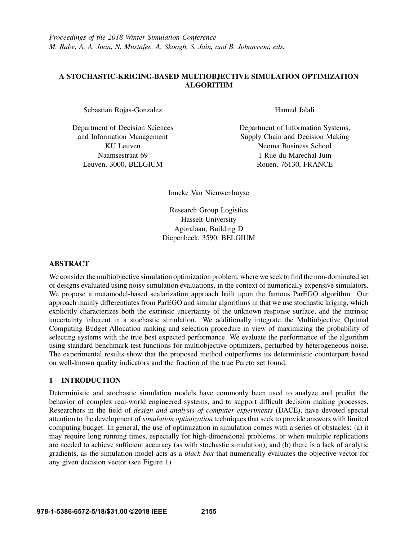# A STOCHASTIC-KRIGING-BASED MULTIOBJECTIVE SIMULATION OPTIMIZATION ALGORITHM

Sebastian Rojas-Gonzalez

Department of Decision Sciences and Information Management KU Leuven Naamsestraat 69 Leuven, 3000, BELGIUM

Hamed Jalali

Department of Information Systems, Supply Chain and Decision Making Neoma Business School 1 Rue du Marechal Juin Rouen, 76130, FRANCE

Inneke Van Nieuwenhuyse

Research Group Logistics Hasselt University Agoralaan, Building D Diepenbeek, 3590, BELGIUM

## ABSTRACT

We consider the multiobjective simulation optimization problem, where we seek to find the non-dominated set of designs evaluated using noisy simulation evaluations, in the context of numerically expensive simulators. We propose a metamodel-based scalarization approach built upon the famous ParEGO algorithm. Our approach mainly differentiates from ParEGO and similar algorithms in that we use stochastic kriging, which explicitly characterizes both the extrinsic uncertainty of the unknown response surface, and the intrinsic uncertainty inherent in a stochastic simulation. We additionally integrate the Multiobjective Optimal Computing Budget Allocation ranking and selection procedure in view of maximizing the probability of selecting systems with the true best expected performance. We evaluate the performance of the algorithm using standard benchmark test functions for multiobjective optimizers, perturbed by heterogeneous noise. The experimental results show that the proposed method outperforms its deterministic counterpart based on well-known quality indicators and the fraction of the true Pareto set found.

## 1 INTRODUCTION

Deterministic and stochastic simulation models have commonly been used to analyze and predict the behavior of complex real-world engineered systems, and to support difficult decision making processes. Researchers in the field of *design and analysis of computer experiments* (DACE), have devoted special attention to the development of *simulation optimization* techniques that seek to provide answers with limited computing budget. In general, the use of optimization in simulation comes with a series of obstacles: (a) it may require long running times, especially for high-dimensional problems, or when multiple replications are needed to achieve sufficient accuracy (as with stochastic simulation); and (b) there is a lack of analytic gradients, as the simulation model acts as a *black box* that numerically evaluates the objective vector for any given decision vector (see Figure 1).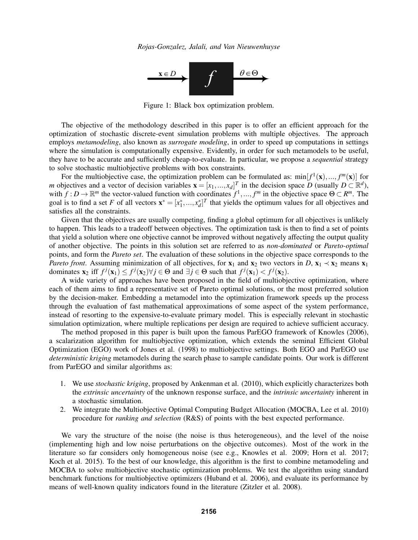

Figure 1: Black box optimization problem.

The objective of the methodology described in this paper is to offer an efficient approach for the optimization of stochastic discrete-event simulation problems with multiple objectives. The approach employs *metamodeling*, also known as *surrogate modeling*, in order to speed up computations in settings where the simulation is computationally expensive. Evidently, in order for such metamodels to be useful, they have to be accurate and sufficiently cheap-to-evaluate. In particular, we propose a *sequential* strategy to solve stochastic multiobjective problems with box constraints.

For the multiobjective case, the optimization problem can be formulated as:  $min[f^1(x),...,f^m(x)]$  for *m* objectives and a vector of decision variables  $\mathbf{x} = [x_1, ..., x_d]^T$  in the decision space *D* (usually  $D \subset \mathbb{R}^d$ ), with  $f: D \to \mathbb{R}^m$  the vector-valued function with coordinates  $f^1, ..., f^m$  in the objective space  $\Theta \subset R^m$ . The goal is to find a set *F* of all vectors  $\mathbf{x}^* = [x_1^*,...,x_d^*]^T$  that yields the optimum values for all objectives and satisfies all the constraints.

Given that the objectives are usually competing, finding a global optimum for all objectives is unlikely to happen. This leads to a tradeoff between objectives. The optimization task is then to find a set of points that yield a solution where one objective cannot be improved without negatively affecting the output quality of another objective. The points in this solution set are referred to as *non-dominated* or *Pareto-optimal* points, and form the *Pareto set*. The evaluation of these solutions in the objective space corresponds to the *Pareto front*. Assuming minimization of all objectives, for  $x_1$  and  $x_2$  two vectors in *D*,  $x_1 \prec x_2$  means  $x_1$ dominates  $\mathbf{x}_2$  if  $f^j(\mathbf{x}_1) \leq f^j(\mathbf{x}_2) \forall j \in \Theta$  and  $\exists j \in \Theta$  such that  $f^j(\mathbf{x}_1) < f^j(\mathbf{x}_2)$ .

A wide variety of approaches have been proposed in the field of multiobjective optimization, where each of them aims to find a representative set of Pareto optimal solutions, or the most preferred solution by the decision-maker. Embedding a metamodel into the optimization framework speeds up the process through the evaluation of fast mathematical approximations of some aspect of the system performance, instead of resorting to the expensive-to-evaluate primary model. This is especially relevant in stochastic simulation optimization, where multiple replications per design are required to achieve sufficient accuracy.

The method proposed in this paper is built upon the famous ParEGO framework of Knowles (2006), a scalarization algorithm for multiobjective optimization, which extends the seminal Efficient Global Optimization (EGO) work of Jones et al. (1998) to multiobjective settings. Both EGO and ParEGO use *deterministic kriging* metamodels during the search phase to sample candidate points. Our work is different from ParEGO and similar algorithms as:

- 1. We use *stochastic kriging*, proposed by Ankenman et al. (2010), which explicitly characterizes both the *extrinsic uncertainty* of the unknown response surface, and the *intrinsic uncertainty* inherent in a stochastic simulation.
- 2. We integrate the Multiobjective Optimal Computing Budget Allocation (MOCBA, Lee et al. 2010) procedure for *ranking and selection* (R&S) of points with the best expected performance.

We vary the structure of the noise (the noise is thus heterogeneous), and the level of the noise (implementing high and low noise perturbations on the objective outcomes). Most of the work in the literature so far considers only homogeneous noise (see e.g., Knowles et al. 2009; Horn et al. 2017; Koch et al. 2015). To the best of our knowledge, this algorithm is the first to combine metamodeling and MOCBA to solve multiobjective stochastic optimization problems. We test the algorithm using standard benchmark functions for multiobjective optimizers (Huband et al. 2006), and evaluate its performance by means of well-known quality indicators found in the literature (Zitzler et al. 2008).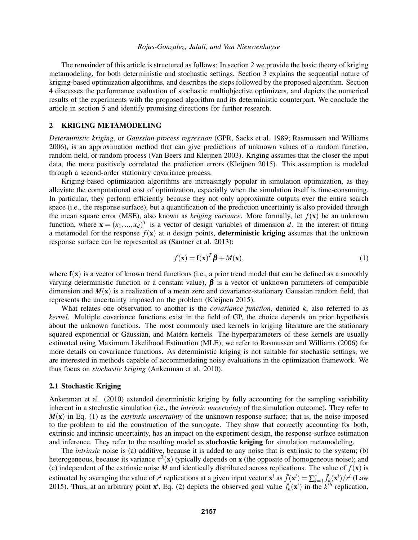The remainder of this article is structured as follows: In section 2 we provide the basic theory of kriging metamodeling, for both deterministic and stochastic settings. Section 3 explains the sequential nature of kriging-based optimization algorithms, and describes the steps followed by the proposed algorithm. Section 4 discusses the performance evaluation of stochastic multiobjective optimizers, and depicts the numerical results of the experiments with the proposed algorithm and its deterministic counterpart. We conclude the article in section 5 and identify promising directions for further research.

## 2 KRIGING METAMODELING

*Deterministic kriging*, or *Gaussian process regression* (GPR, Sacks et al. 1989; Rasmussen and Williams 2006), is an approximation method that can give predictions of unknown values of a random function, random field, or random process (Van Beers and Kleijnen 2003). Kriging assumes that the closer the input data, the more positively correlated the prediction errors (Kleijnen 2015). This assumption is modeled through a second-order stationary covariance process.

Kriging-based optimization algorithms are increasingly popular in simulation optimization, as they alleviate the computational cost of optimization, especially when the simulation itself is time-consuming. In particular, they perform efficiently because they not only approximate outputs over the entire search space (i.e., the response surface), but a quantification of the prediction uncertainty is also provided through the mean square error (MSE), also known as *kriging variance*. More formally, let  $f(\mathbf{x})$  be an unknown function, where  $\mathbf{x} = (x_1, ..., x_d)^T$  is a vector of design variables of dimension *d*. In the interest of fitting a metamodel for the response  $f(x)$  at *n* design points, **deterministic kriging** assumes that the unknown response surface can be represented as (Santner et al. 2013):

$$
f(\mathbf{x}) = \mathbf{f}(\mathbf{x})^T \boldsymbol{\beta} + M(\mathbf{x}),
$$
\n(1)

where  $f(x)$  is a vector of known trend functions (i.e., a prior trend model that can be defined as a smoothly varying deterministic function or a constant value),  $\beta$  is a vector of unknown parameters of compatible dimension and *M*(x) is a realization of a mean zero and covariance-stationary Gaussian random field, that represents the uncertainty imposed on the problem (Kleijnen 2015).

What relates one observation to another is the *covariance function*, denoted *k*, also referred to as *kernel*. Multiple covariance functions exist in the field of GP, the choice depends on prior hypothesis about the unknown functions. The most commonly used kernels in kriging literature are the stationary squared exponential or Gaussian, and Matérn kernels. The hyperparameters of these kernels are usually estimated using Maximum Likelihood Estimation (MLE); we refer to Rasmussen and Williams (2006) for more details on covariance functions. As deterministic kriging is not suitable for stochastic settings, we are interested in methods capable of accommodating noisy evaluations in the optimization framework. We thus focus on *stochastic kriging* (Ankenman et al. 2010).

### 2.1 Stochastic Kriging

Ankenman et al. (2010) extended deterministic kriging by fully accounting for the sampling variability inherent in a stochastic simulation (i.e., the *intrinsic uncertainty* of the simulation outcome). They refer to *M*(x) in Eq. (1) as the *extrinsic uncertainty* of the unknown response surface; that is, the noise imposed to the problem to aid the construction of the surrogate. They show that correctly accounting for both, extrinsic and intrinsic uncertainty, has an impact on the experiment design, the response-surface estimation and inference. They refer to the resulting model as **stochastic kriging** for simulation metamodeling.

The *intrinsic* noise is (a) additive, because it is added to any noise that is extrinsic to the system; (b) heterogeneous, because its variance  $\tau^2(x)$  typically depends on **x** (the opposite of homogeneous noise); and (c) independent of the extrinsic noise *M* and identically distributed across replications. The value of  $f(\mathbf{x})$  is estimated by averaging the value of  $r^i$  replications at a given input vector  $\mathbf{x}^i$  as  $\bar{f}(\mathbf{x}^i) = \sum_{k=1}^{r^i}$  $\int_{k=1}^{r^i} \tilde{f}_k(\mathbf{x}^i)/r^i$  (Law 2015). Thus, at an arbitrary point  $\mathbf{x}^i$ , Eq. (2) depicts the observed goal value  $\tilde{f}_k(\mathbf{x}^i)$  in the  $k^{th}$  replication,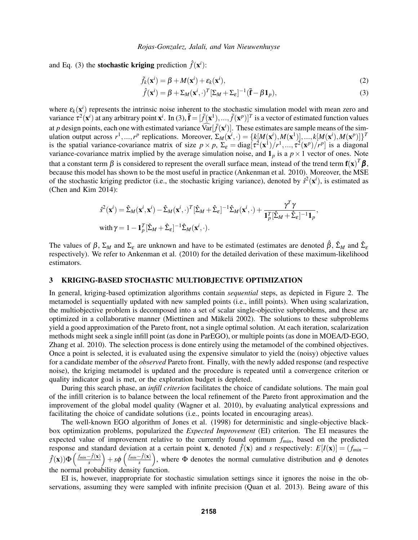and Eq. (3) the **stochastic kriging** prediction  $\hat{f}(\mathbf{x}^i)$ :

$$
\tilde{f}_k(\mathbf{x}^i) = \beta + M(\mathbf{x}^i) + \varepsilon_k(\mathbf{x}^i),\tag{2}
$$

$$
\hat{f}(\mathbf{x}^i) = \beta + \Sigma_M (\mathbf{x}^i, \cdot)^T [\Sigma_M + \Sigma_{\varepsilon}]^{-1} (\bar{\mathbf{f}} - \beta \mathbf{1}_p),
$$
\n(3)

where  $\varepsilon_k(\mathbf{x}^i)$  represents the intrinsic noise inherent to the stochastic simulation model with mean zero and variance  $\hat{\tau}^2(\mathbf{x}^i)$  at any arbitrary point  $\mathbf{x}^i$ . In (3),  $\vec{\mathbf{f}} = [\bar{f}(\mathbf{x}^1), ..., \bar{f}(\mathbf{x}^p)]^T$  is a vector of estimated function values at *p* design points, each one with estimated variance  $\widehat{\text{Var}}[\bar{f}(\mathbf{x}^i)]$ . These estimates are sample means of the simulation output across  $r^1, ..., r^p$  replications. Moreover,  $\Sigma_M(\mathbf{x}^i, \cdot) = \{k[M(\mathbf{x}^i), M(\mathbf{x}^1)], ..., k[M(\mathbf{x}^i), M(\mathbf{x}^p)]\}^T$ is the spatial variance-covariance matrix of size  $p \times p$ ,  $\Sigma_{\varepsilon} = \text{diag}[\tau^2(\mathbf{x}^1)/r^1,...,\tau^2(\mathbf{x}^p)/r^p]$  is a diagonal variance-covariance matrix implied by the average simulation noise, and  $\mathbf{1}_p$  is a  $p \times 1$  vector of ones. Note that a constant term  $\beta$  is considered to represent the overall surface mean, instead of the trend term  $f(x)^T\beta$ , because this model has shown to be the most useful in practice (Ankenman et al. 2010). Moreover, the MSE of the stochastic kriging predictor (i.e., the stochastic kriging variance), denoted by  $\hat{s}^2(\mathbf{x}^i)$ , is estimated as (Chen and Kim 2014):

$$
\hat{s}^{2}(\mathbf{x}^{i}) = \hat{\Sigma}_{M}(\mathbf{x}^{i}, \mathbf{x}^{i}) - \hat{\Sigma}_{M}(\mathbf{x}^{i}, \cdot)^{T} [\hat{\Sigma}_{M} + \hat{\Sigma}_{\varepsilon}]^{-1} \hat{\Sigma}_{M}(\mathbf{x}^{i}, \cdot) + \frac{\gamma^{T} \gamma}{\mathbf{1}_{p}^{T} [\hat{\Sigma}_{M} + \hat{\Sigma}_{\varepsilon}]^{-1} \mathbf{1}_{p}},
$$
\nwith  $\gamma = 1 - \mathbf{1}_{p}^{T} [\hat{\Sigma}_{M} + \hat{\Sigma}_{\varepsilon}]^{-1} \hat{\Sigma}_{M}(\mathbf{x}^{i}, \cdot).$ 

The values of  $\beta$ ,  $\Sigma_M$  and  $\Sigma_{\varepsilon}$  are unknown and have to be estimated (estimates are denoted  $\hat{\beta}$ ,  $\hat{\Sigma}_M$  and  $\hat{\Sigma}_{\varepsilon}$ respectively). We refer to Ankenman et al. (2010) for the detailed derivation of these maximum-likelihood estimators.

### 3 KRIGING-BASED STOCHASTIC MULTIOBJECTIVE OPTIMIZATION

In general, kriging-based optimization algorithms contain *sequential* steps, as depicted in Figure 2. The metamodel is sequentially updated with new sampled points (i.e., infill points). When using scalarization, the multiobjective problem is decomposed into a set of scalar single-objective subproblems, and these are optimized in a collaborative manner (Miettinen and Mäkelä 2002). The solutions to these subproblems yield a good approximation of the Pareto front, not a single optimal solution. At each iteration, scalarization methods might seek a single infill point (as done in ParEGO), or multiple points (as done in MOEA/D-EGO, Zhang et al. 2010). The selection process is done entirely using the metamodel of the combined objectives. Once a point is selected, it is evaluated using the expensive simulator to yield the (noisy) objective values for a candidate member of the *observed* Pareto front. Finally, with the newly added response (and respective noise), the kriging metamodel is updated and the procedure is repeated until a convergence criterion or quality indicator goal is met, or the exploration budget is depleted.

During this search phase, an *infill criterion* facilitates the choice of candidate solutions. The main goal of the infill criterion is to balance between the local refinement of the Pareto front approximation and the improvement of the global model quality (Wagner et al. 2010), by evaluating analytical expressions and facilitating the choice of candidate solutions (i.e., points located in encouraging areas).

The well-known EGO algorithm of Jones et al. (1998) for deterministic and single-objective blackbox optimization problems, popularized the *Expected Improvement* (EI) criterion. The EI measures the expected value of improvement relative to the currently found optimum *fmin*, based on the predicted response and standard deviation at a certain point x, denoted  $\hat{f}(x)$  and *s* respectively:  $E[I(x)] = (f_{min} - f_{min})$  $\hat{f}(\mathbf{x}))\Phi\left(\frac{f_{min}-\hat{f}(\mathbf{x})}{s}\right)$  $\frac{-\hat{f}(\mathbf{x})}{s}$  +  $s\phi$  ( $\frac{f_{min}-\hat{f}(\mathbf{x})}{s}$  $\left(\frac{\hat{f}(x)}{s}\right)$ , where  $\Phi$  denotes the normal cumulative distribution and  $\phi$  denotes the normal probability density function.

EI is, however, inappropriate for stochastic simulation settings since it ignores the noise in the observations, assuming they were sampled with infinite precision (Quan et al. 2013). Being aware of this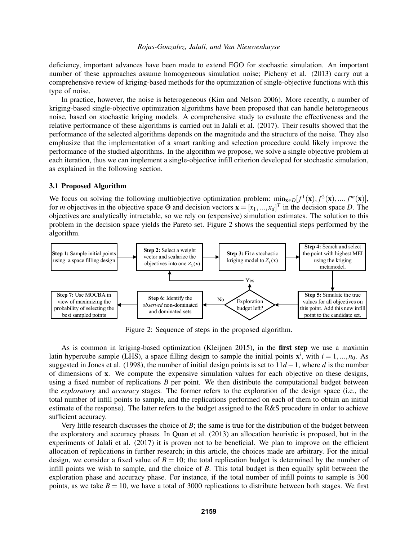deficiency, important advances have been made to extend EGO for stochastic simulation. An important number of these approaches assume homogeneous simulation noise; Picheny et al. (2013) carry out a comprehensive review of kriging-based methods for the optimization of single-objective functions with this type of noise.

In practice, however, the noise is heterogeneous (Kim and Nelson 2006). More recently, a number of kriging-based single-objective optimization algorithms have been proposed that can handle heterogeneous noise, based on stochastic kriging models. A comprehensive study to evaluate the effectiveness and the relative performance of these algorithms is carried out in Jalali et al. (2017). Their results showed that the performance of the selected algorithms depends on the magnitude and the structure of the noise. They also emphasize that the implementation of a smart ranking and selection procedure could likely improve the performance of the studied algorithms. In the algorithm we propose, we solve a single objective problem at each iteration, thus we can implement a single-objective infill criterion developed for stochastic simulation, as explained in the following section.

## 3.1 Proposed Algorithm

We focus on solving the following multiobjective optimization problem:  $min_{\mathbf{x}\in D}[f^1(\mathbf{x}), f^2(\mathbf{x}), ..., f^m(\mathbf{x})],$ for *m* objectives in the objective space  $\Theta$  and decision vectors  $\mathbf{x} = [x_1, ..., x_d]^T$  in the decision space *D*. The objectives are analytically intractable, so we rely on (expensive) simulation estimates. The solution to this problem in the decision space yields the Pareto set. Figure 2 shows the sequential steps performed by the algorithm.



Figure 2: Sequence of steps in the proposed algorithm.

As is common in kriging-based optimization (Kleijnen 2015), in the first step we use a maximin latin hypercube sample (LHS), a space filling design to sample the initial points  $x^i$ , with  $i = 1, ..., n_0$ . As suggested in Jones et al. (1998), the number of initial design points is set to 11*d* −1, where *d* is the number of dimensions of x. We compute the expensive simulation values for each objective on these designs, using a fixed number of replications *B* per point. We then distribute the computational budget between the *exploratory* and *accuracy* stages. The former refers to the exploration of the design space (i.e., the total number of infill points to sample, and the replications performed on each of them to obtain an initial estimate of the response). The latter refers to the budget assigned to the R&S procedure in order to achieve sufficient accuracy.

Very little research discusses the choice of *B*; the same is true for the distribution of the budget between the exploratory and accuracy phases. In Quan et al. (2013) an allocation heuristic is proposed, but in the experiments of Jalali et al. (2017) it is proven not to be beneficial. We plan to improve on the efficient allocation of replications in further research; in this article, the choices made are arbitrary. For the initial design, we consider a fixed value of  $B = 10$ ; the total replication budget is determined by the number of infill points we wish to sample, and the choice of *B*. This total budget is then equally split between the exploration phase and accuracy phase. For instance, if the total number of infill points to sample is 300 points, as we take  $B = 10$ , we have a total of 3000 replications to distribute between both stages. We first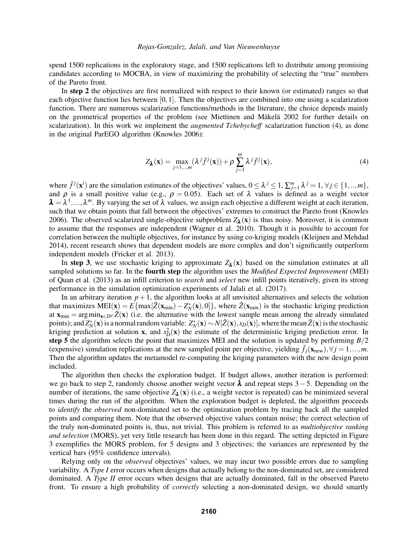spend 1500 replications in the exploratory stage, and 1500 replications left to distribute among promising candidates according to MOCBA, in view of maximizing the probability of selecting the "true" members of the Pareto front.

In step 2 the objectives are first normalized with respect to their known (or estimated) ranges so that each objective function lies between  $[0,1]$ . Then the objectives are combined into one using a scalarization function. There are numerous scalarization functions/methods in the literature, the choice depends mainly on the geometrical properties of the problem (see Miettinen and Mäkelä 2002 for further details on scalarization). In this work we implement the *augmented Tchebycheff* scalarization function (4), as done in the original ParEGO algorithm (Knowles 2006):

$$
Z_{\lambda}(\mathbf{x}) = \max_{j=1,\dots,m} (\lambda^j \bar{f}^j(\mathbf{x})) + \rho \sum_{j=1}^m \lambda^j \bar{f}^j(\mathbf{x}),
$$
\n(4)

where  $\bar{f}^j(\mathbf{x}^i)$  are the simulation estimates of the objectives' values,  $0 \leq \lambda^j \leq 1$ ,  $\sum_{j=1}^m \lambda^j = 1$ ,  $\forall j \in \{1, ..., m\}$ , and  $\rho$  is a small positive value (e.g.,  $\rho = 0.05$ ). Each set of  $\lambda$  values is defined as a weight vector  $\lambda = \lambda^1, ..., \lambda^m$ . By varying the set of  $\lambda$  values, we assign each objective a different weight at each iteration, such that we obtain points that fall between the objectives' extremes to construct the Pareto front (Knowles 2006). The observed scalarized single-objective subproblem  $Z_{\lambda}$ ( $x$ ) is thus noisy. Moreover, it is common to assume that the responses are independent (Wagner et al. 2010). Though it is possible to account for correlation between the multiple objectives, for instance by using co-kriging models (Kleijnen and Mehdad 2014), recent research shows that dependent models are more complex and don't significantly outperform independent models (Fricker et al. 2013).

In step 3, we use stochastic kriging to approximate  $Z_{\lambda}(x)$  based on the simulation estimates at all sampled solutions so far. In the fourth step the algorithm uses the *Modified Expected Improvement* (MEI) of Quan et al. (2013) as an infill criterion to *search* and *select* new infill points iteratively, given its strong performance in the simulation optimization experiments of Jalali et al. (2017).

In an arbitrary iteration  $p+1$ , the algorithm looks at all unvisited alternatives and selects the solution that maximizes  $\text{MEI}(\mathbf{x}) = E\{\max[\hat{Z}(\mathbf{x}_{\text{min}}) - Z_N^*(\mathbf{x}), 0]\},\$  where  $\hat{Z}(\mathbf{x}_{\text{min}})$  is the stochastic kriging prediction at  $\mathbf{x}_{\text{min}} = \arg \min_{\mathbf{x} \in D^p} \bar{Z}(\mathbf{x})$  (i.e. the alternative with the lowest sample mean among the already simulated points); and  $Z_N^*(\mathbf{x})$  is a normal random variable:  $Z_N^*(\mathbf{x}) \sim N[\hat{Z}(\mathbf{x}), s_D(\mathbf{x})]$ , where the mean  $\hat{Z}(\mathbf{x})$  is the stochastic kriging prediction at solution **x**, and  $s_D^2(\mathbf{x})$  the estimate of the deterministic kriging prediction error. In step 5 the algorithm selects the point that maximizes MEI and the solution is updated by performing  $B/2$ (expensive) simulation replications at the new sampled point per objective, yielding  $\bar{f}_i(\mathbf{x}_{new}), \forall j = 1,...,m$ . Then the algorithm updates the metamodel re-computing the kriging parameters with the new design point included.

The algorithm then checks the exploration budget. If budget allows, another iteration is performed: we go back to step 2, randomly choose another weight vector  $\lambda$  and repeat steps 3 – 5. Depending on the number of iterations, the same objective  $Z_{\lambda}(x)$  (i.e., a weight vector is repeated) can be minimized several times during the run of the algorithm. When the exploration budget is depleted, the algorithm proceeds to *identify* the *observed* non-dominated set to the optimization problem by tracing back all the sampled points and comparing them. Note that the observed objective values contain noise; the correct selection of the truly non-dominated points is, thus, not trivial. This problem is referred to as *multiobjective ranking and selection* (MORS), yet very little research has been done in this regard. The setting depicted in Figure 3 exemplifies the MORS problem, for 5 designs and 3 objectives; the variances are represented by the vertical bars (95% confidence intervals).

Relying only on the *observed* objectives' values, we may incur two possible errors due to sampling variability. A *Type I* error occurs when designs that actually belong to the non-dominated set, are considered dominated. A *Type II* error occurs when designs that are actually dominated, fall in the observed Pareto front. To ensure a high probability of *correctly* selecting a non-dominated design, we should smartly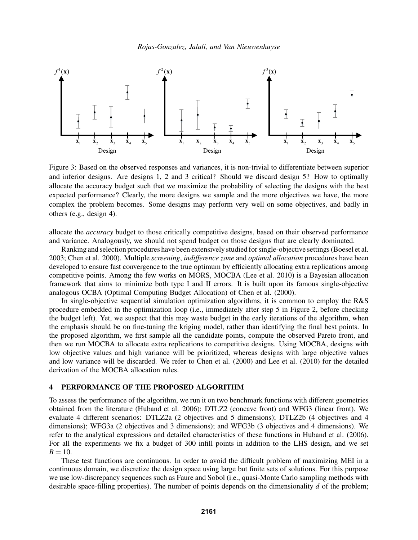

Figure 3: Based on the observed responses and variances, it is non-trivial to differentiate between superior and inferior designs. Are designs 1, 2 and 3 critical? Should we discard design 5? How to optimally allocate the accuracy budget such that we maximize the probability of selecting the designs with the best expected performance? Clearly, the more designs we sample and the more objectives we have, the more complex the problem becomes. Some designs may perform very well on some objectives, and badly in others (e.g., design 4).

allocate the *accuracy* budget to those critically competitive designs, based on their observed performance and variance. Analogously, we should not spend budget on those designs that are clearly dominated.

Ranking and selection procedures have been extensively studied for single-objective settings (Boesel et al. 2003; Chen et al. 2000). Multiple *screening*, *indifference zone* and *optimal allocation* procedures have been developed to ensure fast convergence to the true optimum by efficiently allocating extra replications among competitive points. Among the few works on MORS, MOCBA (Lee et al. 2010) is a Bayesian allocation framework that aims to minimize both type I and II errors. It is built upon its famous single-objective analogous OCBA (Optimal Computing Budget Allocation) of Chen et al. (2000).

In single-objective sequential simulation optimization algorithms, it is common to employ the R&S procedure embedded in the optimization loop (i.e., immediately after step 5 in Figure 2, before checking the budget left). Yet, we suspect that this may waste budget in the early iterations of the algorithm, when the emphasis should be on fine-tuning the kriging model, rather than identifying the final best points. In the proposed algorithm, we first sample all the candidate points, compute the observed Pareto front, and then we run MOCBA to allocate extra replications to competitive designs. Using MOCBA, designs with low objective values and high variance will be prioritized, whereas designs with large objective values and low variance will be discarded. We refer to Chen et al. (2000) and Lee et al. (2010) for the detailed derivation of the MOCBA allocation rules.

#### 4 PERFORMANCE OF THE PROPOSED ALGORITHM

To assess the performance of the algorithm, we run it on two benchmark functions with different geometries obtained from the literature (Huband et al. 2006): DTLZ2 (concave front) and WFG3 (linear front). We evaluate 4 different scenarios: DTLZ2a (2 objectives and 5 dimensions); DTLZ2b (4 objectives and 4 dimensions); WFG3a (2 objectives and 3 dimensions); and WFG3b (3 objectives and 4 dimensions). We refer to the analytical expressions and detailed characteristics of these functions in Huband et al. (2006). For all the experiments we fix a budget of 300 infill points in addition to the LHS design, and we set  $B = 10$ .

These test functions are continuous. In order to avoid the difficult problem of maximizing MEI in a continuous domain, we discretize the design space using large but finite sets of solutions. For this purpose we use low-discrepancy sequences such as Faure and Sobol (i.e., quasi-Monte Carlo sampling methods with desirable space-filling properties). The number of points depends on the dimensionality *d* of the problem;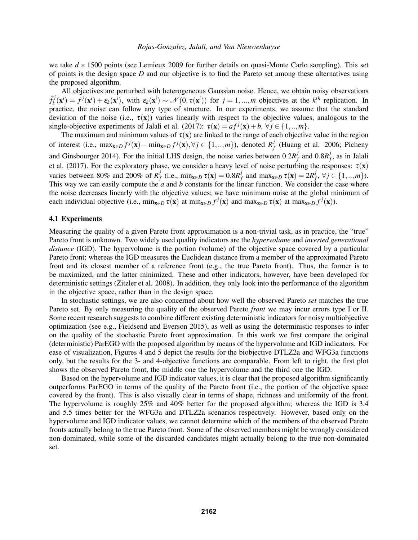we take  $d \times 1500$  points (see Lemieux 2009 for further details on quasi-Monte Carlo sampling). This set of points is the design space *D* and our objective is to find the Pareto set among these alternatives using the proposed algorithm.

All objectives are perturbed with heterogeneous Gaussian noise. Hence, we obtain noisy observations ˜*f j*  $\mathcal{E}_k^j(\mathbf{x}^i) = f^j(\mathbf{x}^i) + \mathcal{E}_k(\mathbf{x}^i)$ , with  $\mathcal{E}_k(\mathbf{x}^i) \sim \mathcal{N}(0, \tau(\mathbf{x}^i))$  for  $j = 1, ..., m$  objectives at the  $k^{th}$  replication. In practice, the noise can follow any type of structure. In our experiments, we assume that the standard deviation of the noise (i.e.,  $\tau(\mathbf{x})$ ) varies linearly with respect to the objective values, analogous to the single-objective experiments of Jalali et al. (2017):  $\tau(\mathbf{x}) = af^{j}(\mathbf{x}) + b$ ,  $\forall j \in \{1, ..., m\}$ .

The maximum and minimum values of  $\tau(x)$  are linked to the range of each objective value in the region of interest (i.e.,  $\max_{\mathbf{x} \in D} f^j(\mathbf{x}) - \min_{\mathbf{x} \in D} f^j(\mathbf{x}), \forall j \in \{1, ..., m\}$ ), denoted  $R_f^j$  $f$ <sup> $f$ </sup> (Huang et al. 2006; Picheny and Ginsbourger 2014). For the initial LHS design, the noise varies between  $0.2R_f^j$  $\frac{f}{f}$  and  $0.8R_f^f$  $f$ <sup>,</sup> as in Jalali et al. (2017). For the exploratory phase, we consider a heavy level of noise perturbing the responses:  $\tau(\mathbf{x})$ varies between 80% and 200% of  $R_I^j$ *f*<sub>f</sub> (i.e., min<sub>x∈*D*</sub>  $\tau$ (**x**) = 0.8*R*<sup>*j*</sup><sub>*f*</sub> *f*<sub>f</sub> and  $\max_{\mathbf{x} \in D} \tau(\mathbf{x}) = 2R_f^j$  $f_j^j, \forall j \in \{1, ..., m\}$ ). This way we can easily compute the  $a$  and  $b$  constants for the linear function. We consider the case where the noise decreases linearly with the objective values; we have minimum noise at the global minimum of each individual objective (i.e.,  $\min_{\mathbf{x} \in D} \tau(\mathbf{x})$  at  $\min_{\mathbf{x} \in D} f^j(\mathbf{x})$  and  $\max_{\mathbf{x} \in D} \tau(\mathbf{x})$  at  $\max_{\mathbf{x} \in D} f^j(\mathbf{x})$ ).

#### 4.1 Experiments

Measuring the quality of a given Pareto front approximation is a non-trivial task, as in practice, the "true" Pareto front is unknown. Two widely used quality indicators are the *hypervolume* and *inverted generational distance* (IGD). The hypervolume is the portion (volume) of the objective space covered by a particular Pareto front; whereas the IGD measures the Euclidean distance from a member of the approximated Pareto front and its closest member of a reference front (e.g., the true Pareto front). Thus, the former is to be maximized, and the latter minimized. These and other indicators, however, have been developed for deterministic settings (Zitzler et al. 2008). In addition, they only look into the performance of the algorithm in the objective space, rather than in the design space.

In stochastic settings, we are also concerned about how well the observed Pareto *set* matches the true Pareto set. By only measuring the quality of the observed Pareto *front* we may incur errors type I or II. Some recent research suggests to combine different existing deterministic indicators for noisy multiobjective optimization (see e.g., Fieldsend and Everson 2015), as well as using the deterministic responses to infer on the quality of the stochastic Pareto front approximation. In this work we first compare the original (deterministic) ParEGO with the proposed algorithm by means of the hypervolume and IGD indicators. For ease of visualization, Figures 4 and 5 depict the results for the biobjective DTLZ2a and WFG3a functions only, but the results for the 3- and 4-objective functions are comparable. From left to right, the first plot shows the observed Pareto front, the middle one the hypervolume and the third one the IGD.

Based on the hypervolume and IGD indicator values, it is clear that the proposed algorithm significantly outperforms ParEGO in terms of the quality of the Pareto front (i.e., the portion of the objective space covered by the front). This is also visually clear in terms of shape, richness and uniformity of the front. The hypervolume is roughly 25% and 40% better for the proposed algorithm; whereas the IGD is 3.4 and 5.5 times better for the WFG3a and DTLZ2a scenarios respectively. However, based only on the hypervolume and IGD indicator values, we cannot determine which of the members of the observed Pareto fronts actually belong to the true Pareto front. Some of the observed members might be wrongly considered non-dominated, while some of the discarded candidates might actually belong to the true non-dominated set.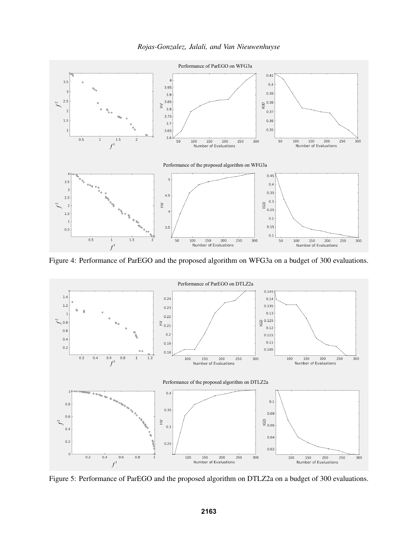



Figure 4: Performance of ParEGO and the proposed algorithm on WFG3a on a budget of 300 evaluations.



Figure 5: Performance of ParEGO and the proposed algorithm on DTLZ2a on a budget of 300 evaluations.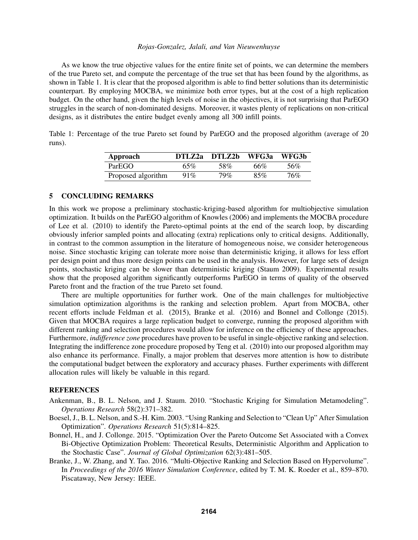As we know the true objective values for the entire finite set of points, we can determine the members of the true Pareto set, and compute the percentage of the true set that has been found by the algorithms, as shown in Table 1. It is clear that the proposed algorithm is able to find better solutions than its deterministic counterpart. By employing MOCBA, we minimize both error types, but at the cost of a high replication budget. On the other hand, given the high levels of noise in the objectives, it is not surprising that ParEGO struggles in the search of non-dominated designs. Moreover, it wastes plenty of replications on non-critical designs, as it distributes the entire budget evenly among all 300 infill points.

Table 1: Percentage of the true Pareto set found by ParEGO and the proposed algorithm (average of 20 runs).

| Approach           | DTLZ2a DTLZ2b |     | WFG3a | WFG3b |
|--------------------|---------------|-----|-------|-------|
| ParEGO             | 65%           | 58% | 66%   | .56%  |
| Proposed algorithm | $91\%$        | 79% | 85%   | 76%   |

### 5 CONCLUDING REMARKS

In this work we propose a preliminary stochastic-kriging-based algorithm for multiobjective simulation optimization. It builds on the ParEGO algorithm of Knowles (2006) and implements the MOCBA procedure of Lee et al. (2010) to identify the Pareto-optimal points at the end of the search loop, by discarding obviously inferior sampled points and allocating (extra) replications only to critical designs. Additionally, in contrast to the common assumption in the literature of homogeneous noise, we consider heterogeneous noise. Since stochastic kriging can tolerate more noise than deterministic kriging, it allows for less effort per design point and thus more design points can be used in the analysis. However, for large sets of design points, stochastic kriging can be slower than deterministic kriging (Staum 2009). Experimental results show that the proposed algorithm significantly outperforms ParEGO in terms of quality of the observed Pareto front and the fraction of the true Pareto set found.

There are multiple opportunities for further work. One of the main challenges for multiobjective simulation optimization algorithms is the ranking and selection problem. Apart from MOCBA, other recent efforts include Feldman et al. (2015), Branke et al. (2016) and Bonnel and Collonge (2015). Given that MOCBA requires a large replication budget to converge, running the proposed algorithm with different ranking and selection procedures would allow for inference on the efficiency of these approaches. Furthermore, *indifference zone* procedures have proven to be useful in single-objective ranking and selection. Integrating the indifference zone procedure proposed by Teng et al. (2010) into our proposed algorithm may also enhance its performance. Finally, a major problem that deserves more attention is how to distribute the computational budget between the exploratory and accuracy phases. Further experiments with different allocation rules will likely be valuable in this regard.

### **REFERENCES**

- Ankenman, B., B. L. Nelson, and J. Staum. 2010. "Stochastic Kriging for Simulation Metamodeling". *Operations Research* 58(2):371–382.
- Boesel, J., B. L. Nelson, and S.-H. Kim. 2003. "Using Ranking and Selection to "Clean Up" After Simulation Optimization". *Operations Research* 51(5):814–825.
- Bonnel, H., and J. Collonge. 2015. "Optimization Over the Pareto Outcome Set Associated with a Convex Bi-Objective Optimization Problem: Theoretical Results, Deterministic Algorithm and Application to the Stochastic Case". *Journal of Global Optimization* 62(3):481–505.
- Branke, J., W. Zhang, and Y. Tao. 2016. "Multi-Objective Ranking and Selection Based on Hypervolume". In *Proceedings of the 2016 Winter Simulation Conference*, edited by T. M. K. Roeder et al., 859–870. Piscataway, New Jersey: IEEE.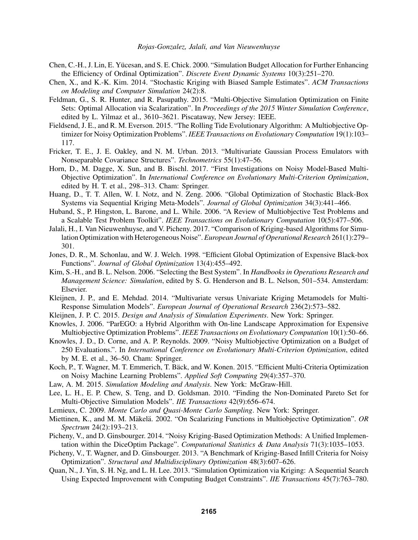- Chen, C.-H., J. Lin, E. Yucesan, and S. E. Chick. 2000. "Simulation Budget Allocation for Further Enhancing ¨ the Efficiency of Ordinal Optimization". *Discrete Event Dynamic Systems* 10(3):251–270.
- Chen, X., and K.-K. Kim. 2014. "Stochastic Kriging with Biased Sample Estimates". *ACM Transactions on Modeling and Computer Simulation* 24(2):8.
- Feldman, G., S. R. Hunter, and R. Pasupathy. 2015. "Multi-Objective Simulation Optimization on Finite Sets: Optimal Allocation via Scalarization". In *Proceedings of the 2015 Winter Simulation Conference*, edited by L. Yilmaz et al., 3610–3621. Piscataway, New Jersey: IEEE.
- Fieldsend, J. E., and R. M. Everson. 2015. "The Rolling Tide Evolutionary Algorithm: A Multiobjective Optimizer for Noisy Optimization Problems". *IEEE Transactions on Evolutionary Computation* 19(1):103– 117.
- Fricker, T. E., J. E. Oakley, and N. M. Urban. 2013. "Multivariate Gaussian Process Emulators with Nonseparable Covariance Structures". *Technometrics* 55(1):47–56.
- Horn, D., M. Dagge, X. Sun, and B. Bischl. 2017. "First Investigations on Noisy Model-Based Multi-Objective Optimization". In *International Conference on Evolutionary Multi-Criterion Optimization*, edited by H. T. et al., 298–313. Cham: Springer.
- Huang, D., T. T. Allen, W. I. Notz, and N. Zeng. 2006. "Global Optimization of Stochastic Black-Box Systems via Sequential Kriging Meta-Models". *Journal of Global Optimization* 34(3):441–466.
- Huband, S., P. Hingston, L. Barone, and L. While. 2006. "A Review of Multiobjective Test Problems and a Scalable Test Problem Toolkit". *IEEE Transactions on Evolutionary Computation* 10(5):477–506.
- Jalali, H., I. Van Nieuwenhuyse, and V. Picheny. 2017. "Comparison of Kriging-based Algorithms for Simulation Optimization with Heterogeneous Noise". *European Journal of Operational Research* 261(1):279– 301.
- Jones, D. R., M. Schonlau, and W. J. Welch. 1998. "Efficient Global Optimization of Expensive Black-box Functions". *Journal of Global Optimization* 13(4):455–492.
- Kim, S.-H., and B. L. Nelson. 2006. "Selecting the Best System". In *Handbooks in Operations Research and Management Science: Simulation*, edited by S. G. Henderson and B. L. Nelson, 501–534. Amsterdam: Elsevier.
- Kleijnen, J. P., and E. Mehdad. 2014. "Multivariate versus Univariate Kriging Metamodels for Multi-Response Simulation Models". *European Journal of Operational Research* 236(2):573–582.
- Kleijnen, J. P. C. 2015. *Design and Analysis of Simulation Experiments*. New York: Springer.
- Knowles, J. 2006. "ParEGO: a Hybrid Algorithm with On-line Landscape Approximation for Expensive Multiobjective Optimization Problems". *IEEE Transactions on Evolutionary Computation* 10(1):50–66.
- Knowles, J. D., D. Corne, and A. P. Reynolds. 2009. "Noisy Multiobjective Optimization on a Budget of 250 Evaluations.". In *International Conference on Evolutionary Multi-Criterion Optimization*, edited by M. E. et al., 36–50. Cham: Springer.
- Koch, P., T. Wagner, M. T. Emmerich, T. Bäck, and W. Konen. 2015. "Efficient Multi-Criteria Optimization on Noisy Machine Learning Problems". *Applied Soft Computing* 29(4):357–370.
- Law, A. M. 2015. *Simulation Modeling and Analysis*. New York: McGraw-Hill.
- Lee, L. H., E. P. Chew, S. Teng, and D. Goldsman. 2010. "Finding the Non-Dominated Pareto Set for Multi-Objective Simulation Models". *IIE Transactions* 42(9):656–674.
- Lemieux, C. 2009. *Monte Carlo and Quasi-Monte Carlo Sampling*. New York: Springer.
- Miettinen, K., and M. M. Mäkelä. 2002. "On Scalarizing Functions in Multiobjective Optimization". OR *Spectrum* 24(2):193–213.
- Picheny, V., and D. Ginsbourger. 2014. "Noisy Kriging-Based Optimization Methods: A Unified Implementation within the DiceOptim Package". *Computational Statistics & Data Analysis* 71(3):1035–1053.
- Picheny, V., T. Wagner, and D. Ginsbourger. 2013. "A Benchmark of Kriging-Based Infill Criteria for Noisy Optimization". *Structural and Multidisciplinary Optimization* 48(3):607–626.
- Quan, N., J. Yin, S. H. Ng, and L. H. Lee. 2013. "Simulation Optimization via Kriging: A Sequential Search Using Expected Improvement with Computing Budget Constraints". *IIE Transactions* 45(7):763–780.